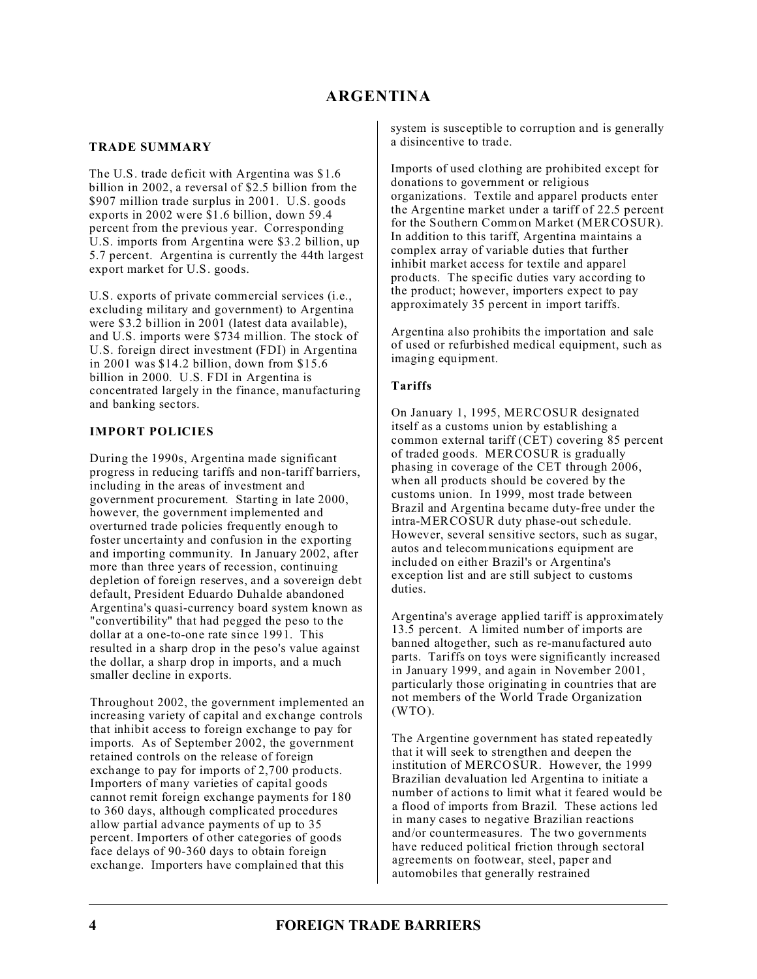### **TRADE SUMMARY**

The U.S. trade deficit with Argentina was \$1.6 billion in 2002, a reversal of \$2.5 billion from the \$907 million trade surplus in 2001. U.S. goods exports in 2002 were \$1.6 billion, down 59.4 percent from the previous year. Corresponding U.S. imports from Argentina were \$3.2 billion, up 5.7 percent. Argentina is currently the 44th largest export market for U.S. goods.

U.S. exports of private commercial services (i.e., excluding military and government) to Argentina were \$3.2 billion in 2001 (latest data available), and U.S. imports were \$734 million. The stock of U.S. foreign direct investment (FDI) in Argentina in 2001 was \$14.2 billion, down from \$15.6 billion in 2000. U.S. FDI in Argentina is concentrated largely in the finance, manufacturing and banking sectors.

## **IMPORT POLICIES**

During the 1990s, Argentina made significant progress in reducing tariffs and non-tariff barriers, including in the areas of investment and government procurement. Starting in late 2000, however, the government implemented and overturned trade policies frequently enough to foster uncertainty and confusion in the exporting and importing community. In January 2002, after more than three years of recession, continuing depletion of foreign reserves, and a sovereign debt default, President Eduardo Duhalde abandoned Argentina's quasi-currency board system known as "convertibility" that had pegged the peso to the dollar at a one-to-one rate since 1991. This resulted in a sharp drop in the peso's value against the dollar, a sharp drop in imports, and a much smaller decline in exports.

Throughout 2002, the government implemented an increasing variety of capital and exchange controls that inhibit access to foreign exchange to pay for imports. As of September 2002, the government retained controls on the release of foreign exchange to pay for imports of 2,700 products. Importers of many varieties of capital goods cannot remit foreign exchange payments for 180 to 360 days, although complicated procedures allow partial advance payments of up to 35 percent. Importers of other categories of goods face delays of 90-360 days to obtain foreign exchange. Importers have complained that this

system is susceptible to corruption and is generally a disincentive to trade.

Imports of used clothing are prohibited except for donations to government or religious organizations. Textile and apparel products enter the Argentine market under a tariff of 22.5 percent for the Southern Common Market (MERCOSUR). In addition to this tariff, Argentina maintains a complex array of variable duties that further inhibit market access for textile and apparel products. The specific duties vary according to the product; however, importers expect to pay approximately 35 percent in import tariffs.

Argentina also prohibits the importation and sale of used or refurbished medical equipment, such as imaging equipment.

### **Tariffs**

On January 1, 1995, MERCOSUR designated itself as a customs union by establishing a common external tariff (CET) covering 85 percent of traded goods. MERCOSUR is gradually phasing in coverage of the CET through 2006, when all products should be covered by the customs union. In 1999, most trade between Brazil and Argentina became duty-free under the intra-MERCOSUR duty phase-out schedule. However, several sensitive sectors, such as sugar, autos and telecommunications equipment are included on either Brazil's or Argentina's exception list and are still subject to customs duties.

Argentina's average applied tariff is approximately 13.5 percent. A limited number of imports are banned altogether, such as re-manufactured auto parts. Tariffs on toys were significantly increased in January 1999, and again in November 2001, particularly those originating in countries that are not members of the World Trade Organization  $(WTO)$ .

The Argentine government has stated repeatedly that it will seek to strengthen and deepen the institution of MERCOSUR. However, the 1999 Brazilian devaluation led Argentina to initiate a number of actions to limit what it feared would be a flood of imports from Brazil. These actions led in many cases to negative Brazilian reactions and/or countermeasures. The two governments have reduced political friction through sectoral agreements on footwear, steel, paper and automobiles that generally restrained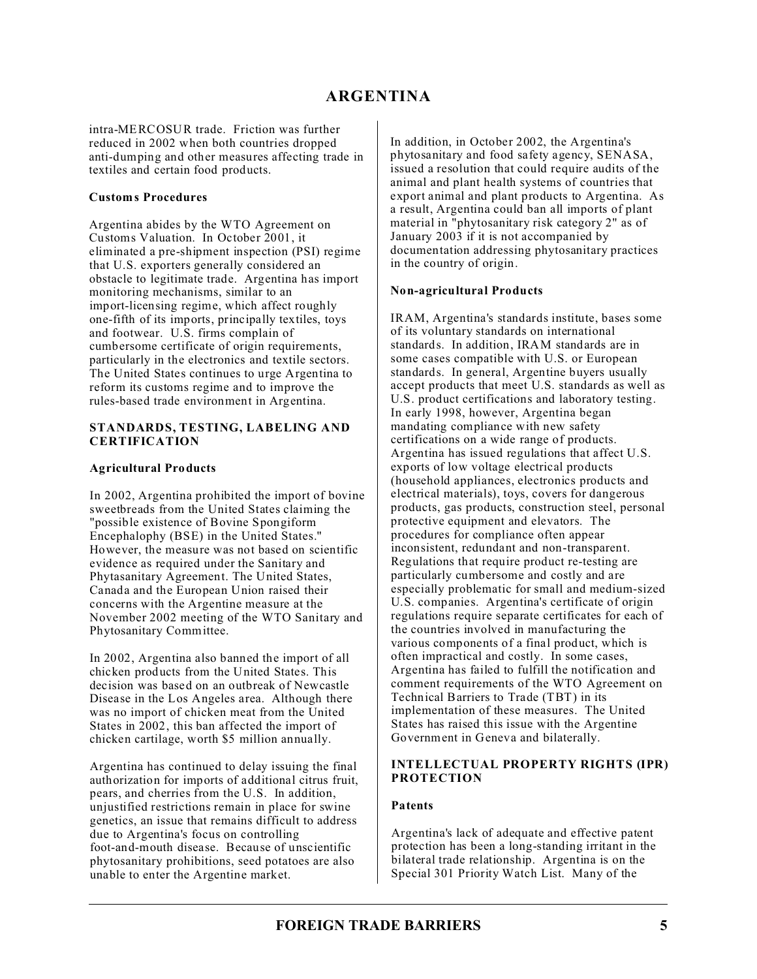intra-MERCOSUR trade. Friction was further reduced in 2002 when both countries dropped anti-dumping and other measures affecting trade in textiles and certain food products.

### **Customs Procedures**

Argentina abides by the WTO Agreement on Customs Valuation. In October 2001, it eliminated a pre-shipment inspection (PSI) regime that U.S. exporters generally considered an obstacle to legitimate trade. Argentina has import monitoring mechanisms, similar to an import-licensing regime, which affect roughly one-fifth of its imports, principally textiles, toys and footwear. U.S. firms complain of cumbersome certificate of origin requirements, particularly in the electronics and textile sectors. The United States continues to urge Argentina to reform its customs regime and to improve the rules-based trade environment in Argentina.

#### **STANDARDS, TESTING, LABELING AND CERTIFICATION**

### **Agricultural Products**

In 2002, Argentina prohibited the import of bovine sweetbreads from the United States claiming the "possible existence of Bovine Spongiform Encephalophy (BSE) in the United States." However, the measure was not based on scientific evidence as required under the Sanitary and Phytasanitary Agreement. The United States, Canada and the European Union raised their concerns with the Argentine measure at the November 2002 meeting of the WTO Sanitary and Phytosanitary Committee.

In 2002, Argentina also banned the import of all chicken products from the United States. This decision was based on an outbreak of Newcastle Disease in the Los Angeles area. Although there was no import of chicken meat from the United States in 2002, this ban affected the import of chicken cartilage, worth \$5 million annually.

Argentina has continued to delay issuing the final authorization for imports of additional citrus fruit, pears, and cherries from the U.S. In addition, unjustified restrictions remain in place for swine genetics, an issue that remains difficult to address due to Argentina's focus on controlling foot-and-mouth disease. Because of unscientific phytosanitary prohibitions, seed potatoes are also unable to enter the Argentine market.

In addition, in October 2002, the Argentina's phytosanitary and food safety agency, SENASA, issued a resolution that could require audits of the animal and plant health systems of countries that export animal and plant products to Argentina. As a result, Argentina could ban all imports of plant material in "phytosanitary risk category 2" as of January 2003 if it is not accompanied by documentation addressing phytosanitary practices in the country of origin.

#### **Non-agricultural Products**

IRAM, Argentina's standards institute, bases some of its voluntary standards on international standards. In addition, IRAM standards are in some cases compatible with U.S. or European standards. In general, Argentine buyers usually accept products that meet U.S. standards as well as U.S. product certifications and laboratory testing. In early 1998, however, Argentina began mandating compliance with new safety certifications on a wide range of products. Argentina has issued regulations that affect U.S. exports of low voltage electrical products (household appliances, electronics products and electrical materials), toys, covers for dangerous products, gas products, construction steel, personal protective equipment and elevators. The procedures for compliance often appear inconsistent, redundant and non-transparent. Regulations that require product re-testing are particularly cumbersome and costly and are especially problematic for small and medium-sized U.S. companies. Argentina's certificate of origin regulations require separate certificates for each of the countries involved in manufacturing the various components of a final product, which is often impractical and costly. In some cases, Argentina has failed to fulfill the notification and comment requirements of the WTO Agreement on Technical Barriers to Trade (TBT) in its implementation of these measures. The United States has raised this issue with the Argentine Government in Geneva and bilaterally.

### **INTELLECTUAL PROPERTY RIGHTS (IPR) PROTECTION**

#### **Patents**

Argentina's lack of adequate and effective patent protection has been a long-standing irritant in the bilateral trade relationship. Argentina is on the Special 301 Priority Watch List. Many of the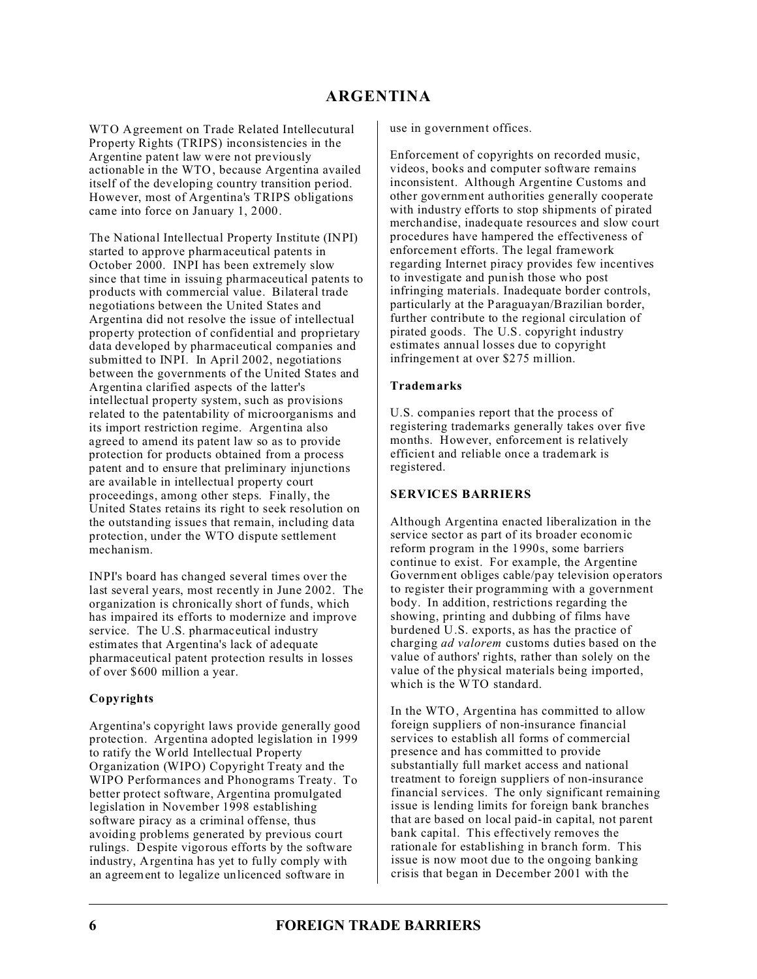WTO Agreement on Trade Related Intellecutural Property Rights (TRIPS) inconsistencies in the Argentine patent law were not previously actionable in the WTO, because Argentina availed itself of the developing country transition period. However, most of Argentina's TRIPS obligations came into force on January 1, 2000.

The National Intellectual Property Institute (INPI) started to approve pharmaceutical patents in October 2000. INPI has been extremely slow since that time in issuing pharmaceutical patents to products with commercial value. Bilateral trade negotiations between the United States and Argentina did not resolve the issue of intellectual property protection of confidential and proprietary data developed by pharmaceutical companies and submitted to INPI. In April 2002, negotiations between the governments of the United States and Argentina clarified aspects of the latter's intellectual property system, such as provisions related to the patentability of microorganisms and its import restriction regime. Argentina also agreed to amend its patent law so as to provide protection for products obtained from a process patent and to ensure that preliminary injunctions are available in intellectual property court proceedings, among other steps. Finally, the United States retains its right to seek resolution on the outstanding issues that remain, including data protection, under the WTO dispute settlement mechanism.

INPI's board has changed several times over the last several years, most recently in June 2002. The organization is chronically short of funds, which has impaired its efforts to modernize and improve service. The U.S. pharmaceutical industry estimates that Argentina's lack of adequate pharmaceutical patent protection results in losses of over \$600 million a year.

### **Copyrights**

Argentina's copyright laws provide generally good protection. Argentina adopted legislation in 1999 to ratify the World Intellectual Property Organization (WIPO) Copyright Treaty and the WIPO Performances and Phonograms Treaty. To better protect software, Argentina promulgated legislation in November 1998 establishing software piracy as a criminal offense, thus avoiding problems generated by previous court rulings. Despite vigorous efforts by the software industry, Argentina has yet to fully comply with an agreement to legalize unlicenced software in

use in government offices.

Enforcement of copyrights on recorded music, videos, books and computer software remains inconsistent. Although Argentine Customs and other government authorities generally cooperate with industry efforts to stop shipments of pirated merchandise, inadequate resources and slow court procedures have hampered the effectiveness of enforcement efforts. The legal framework regarding Internet piracy provides few incentives to investigate and punish those who post infringing materials. Inadequate border controls, particularly at the Paraguayan/Brazilian border, further contribute to the regional circulation of pirated goods. The U.S. copyright industry estimates annual losses due to copyright infringement at over \$275 million.

#### **Trademarks**

U.S. companies report that the process of registering trademarks generally takes over five months. However, enforcement is relatively efficient and reliable once a trademark is registered.

## **SERVICES BARRIERS**

Although Argentina enacted liberalization in the service sector as part of its broader economic reform program in the 1990s, some barriers continue to exist. For example, the Argentine Government obliges cable/pay television operators to register their programming with a government body. In addition, restrictions regarding the showing, printing and dubbing of films have burdened U.S. exports, as has the practice of charging *ad valorem* customs duties based on the value of authors' rights, rather than solely on the value of the physical materials being imported, which is the WTO standard.

In the WTO, Argentina has committed to allow foreign suppliers of non-insurance financial services to establish all forms of commercial presence and has committed to provide substantially full market access and national treatment to foreign suppliers of non-insurance financial services. The only significant remaining issue is lending limits for foreign bank branches that are based on local paid-in capital, not parent bank capital. This effectively removes the rationale for establishing in branch form. This issue is now moot due to the ongoing banking crisis that began in December 2001 with the